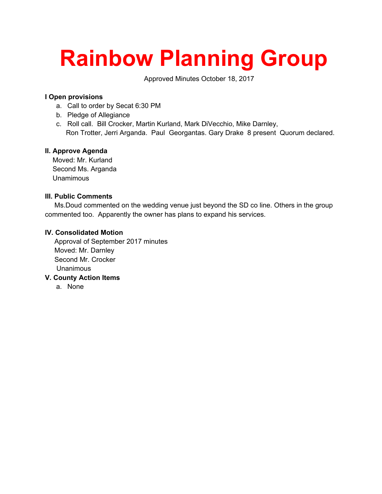# **Rainbow Planning Group**

Approved Minutes October 18, 2017

### **I Open provisions**

- a. Call to order by Secat 6:30 PM
- b. Pledge of Allegiance
- c. Roll call. Bill Crocker, Martin Kurland, Mark DiVecchio, Mike Darnley, Ron Trotter, Jerri Arganda. Paul Georgantas. Gary Drake 8 present Quorum declared.

## **II. Approve Agenda**

 Moved: Mr. Kurland Second Ms. Arganda Unamimous

#### **III. Public Comments**

 Ms.Doud commented on the wedding venue just beyond the SD co line. Others in the group commented too. Apparently the owner has plans to expand his services.

#### **IV. Consolidated Motion**

 Approval of September 2017 minutes Moved: Mr. Darnley Second Mr. Crocker Unanimous

- **V. County Action Items**
	- a. None